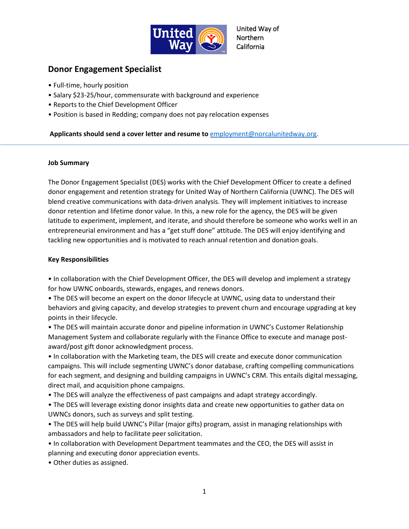

United Way of Northern California

# **Donor Engagement Specialist**

- Full-time, hourly position
- Salary \$23-25/hour, commensurate with background and experience
- Reports to the Chief Development Officer
- Position is based in Redding; company does not pay relocation expenses

## **Applicants should send a cover letter and resume to** [employment@norcalunitedway.org.](mailto:employment@norcalunitedway.org)

#### **Job Summary**

The Donor Engagement Specialist (DES) works with the Chief Development Officer to create a defined donor engagement and retention strategy for United Way of Northern California (UWNC). The DES will blend creative communications with data-driven analysis. They will implement initiatives to increase donor retention and lifetime donor value. In this, a new role for the agency, the DES will be given latitude to experiment, implement, and iterate, and should therefore be someone who works well in an entrepreneurial environment and has a "get stuff done" attitude. The DES will enjoy identifying and tackling new opportunities and is motivated to reach annual retention and donation goals.

### **Key Responsibilities**

• In collaboration with the Chief Development Officer, the DES will develop and implement a strategy for how UWNC onboards, stewards, engages, and renews donors.

• The DES will become an expert on the donor lifecycle at UWNC, using data to understand their behaviors and giving capacity, and develop strategies to prevent churn and encourage upgrading at key points in their lifecycle.

• The DES will maintain accurate donor and pipeline information in UWNC's Customer Relationship Management System and collaborate regularly with the Finance Office to execute and manage postaward/post gift donor acknowledgment process.

• In collaboration with the Marketing team, the DES will create and execute donor communication campaigns. This will include segmenting UWNC's donor database, crafting compelling communications for each segment, and designing and building campaigns in UWNC's CRM. This entails digital messaging, direct mail, and acquisition phone campaigns.

- The DES will analyze the effectiveness of past campaigns and adapt strategy accordingly.
- The DES will leverage existing donor insights data and create new opportunities to gather data on UWNCs donors, such as surveys and split testing.
- The DES will help build UWNC's Pillar (major gifts) program, assist in managing relationships with ambassadors and help to facilitate peer solicitation.
- In collaboration with Development Department teammates and the CEO, the DES will assist in planning and executing donor appreciation events.
- Other duties as assigned.